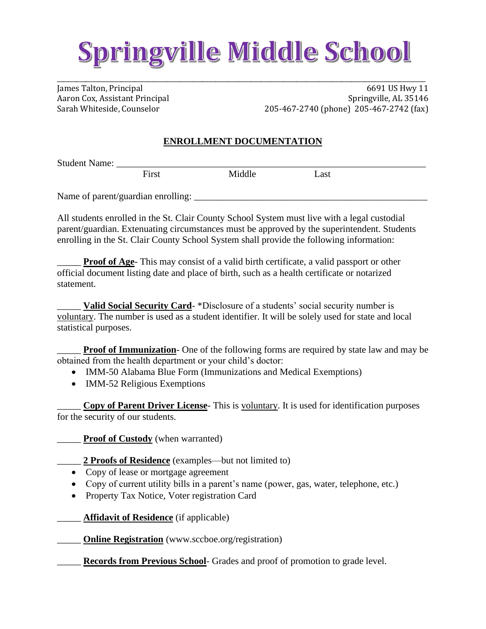## Springville Middle School

\_\_\_\_\_\_\_\_\_\_\_\_\_\_\_\_\_\_\_\_\_\_\_\_\_\_\_\_\_\_\_\_\_\_\_\_\_\_\_\_\_\_\_\_\_\_\_\_\_\_\_\_\_\_\_\_\_\_\_\_\_\_\_\_\_\_\_\_\_\_\_\_\_\_\_\_\_\_\_\_\_\_\_\_\_\_\_\_\_\_\_\_\_\_\_\_\_\_\_\_\_\_\_\_\_\_\_\_\_\_\_\_\_\_

James Talton, Principal 6691 US Hwy 11 Aaron Cox, Assistant Principal Springville, AL 35146 Sarah Whiteside, Counselor 205-467-2740 (phone) 205-467-2742 (fax)

## **ENROLLMENT DOCUMENTATION**

Student Name:

First Middle Last

Name of parent/guardian enrolling: \_\_\_\_\_\_\_\_\_\_\_\_\_\_\_\_\_\_\_\_\_\_\_\_\_\_\_\_\_\_\_\_\_\_\_\_\_\_\_\_\_\_\_\_\_\_\_\_\_

All students enrolled in the St. Clair County School System must live with a legal custodial parent/guardian. Extenuating circumstances must be approved by the superintendent. Students enrolling in the St. Clair County School System shall provide the following information:

**Proof of Age-** This may consist of a valid birth certificate, a valid passport or other official document listing date and place of birth, such as a health certificate or notarized statement.

Valid Social Security Card- \*Disclosure of a students' social security number is voluntary. The number is used as a student identifier. It will be solely used for state and local statistical purposes.

**Proof of Immunization**- One of the following forms are required by state law and may be obtained from the health department or your child's doctor:

- IMM-50 Alabama Blue Form (Immunizations and Medical Exemptions)
- IMM-52 Religious Exemptions

\_\_\_\_\_ **Copy of Parent Driver License**- This is voluntary. It is used for identification purposes for the security of our students.

**Proof of Custody** (when warranted)

\_\_\_\_\_ **2 Proofs of Residence** (examples—but not limited to)

- Copy of lease or mortgage agreement
- Copy of current utility bills in a parent's name (power, gas, water, telephone, etc.)
- Property Tax Notice, Voter registration Card

Affidavit of Residence (if applicable)

**Online Registration** (www.sccboe.org/registration)

\_\_\_\_\_ **Records from Previous School**- Grades and proof of promotion to grade level.